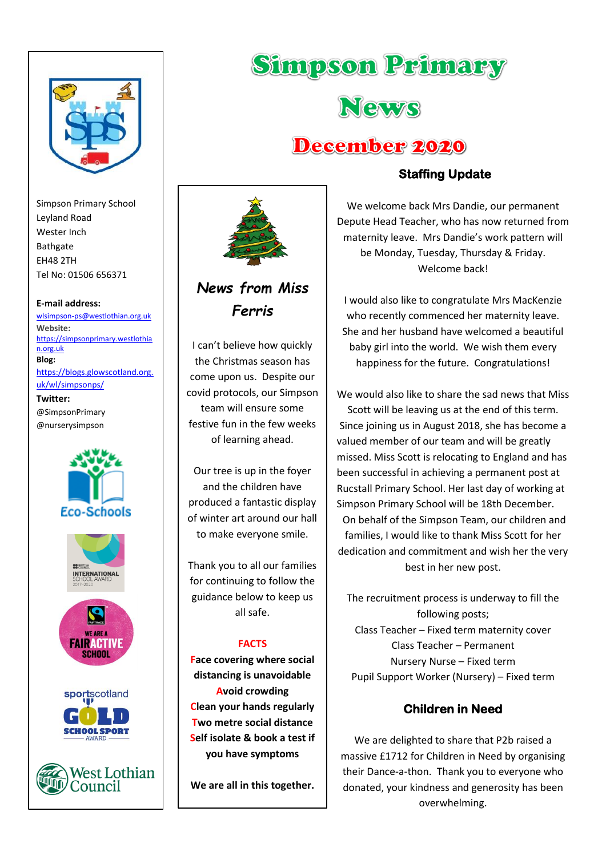

Simpson Primary School Leyland Road Wester Inch Bathgate EH48 2TH Tel No: 01506 656371

#### **E-mail address:**

[wlsimpson-ps@westlothian.org.uk](mailto:wlsimpson-ps@westlothian.org.uk) **Website:** [https://simpsonprimary.westlothia](https://simpsonprimary.westlothian.org.uk/) [n.org.uk](https://simpsonprimary.westlothian.org.uk/) **Blog:** [https://blogs.glowscotland.org.](https://blogs.glowscotland.org.uk/wl/simpsonps/) [uk/wl/simpsonps/](https://blogs.glowscotland.org.uk/wl/simpsonps/) **Twitter:**

@SimpsonPrimary @nurserysimpson





# *News from Miss Ferris*

I can't believe how quickly the Christmas season has come upon us. Despite our covid protocols, our Simpson team will ensure some festive fun in the few weeks of learning ahead.

Our tree is up in the foyer and the children have produced a fantastic display of winter art around our hall to make everyone smile.

Thank you to all our families for continuing to follow the guidance below to keep us all safe.

#### **FACTS**

**Face covering where social distancing is unavoidable Avoid crowding Clean your hands regularly Two metre social distance Self isolate & book a test if you have symptoms**

**We are all in this together.**

## **Staffing Update**

**Simpson Primary** 

News

December 2020

We welcome back Mrs Dandie, our permanent Depute Head Teacher, who has now returned from maternity leave. Mrs Dandie's work pattern will be Monday, Tuesday, Thursday & Friday. Welcome back!

I would also like to congratulate Mrs MacKenzie who recently commenced her maternity leave. She and her husband have welcomed a beautiful baby girl into the world. We wish them every happiness for the future. Congratulations!

We would also like to share the sad news that Miss Scott will be leaving us at the end of this term. Since joining us in August 2018, she has become a valued member of our team and will be greatly missed. Miss Scott is relocating to England and has been successful in achieving a permanent post at Rucstall Primary School. Her last day of working at Simpson Primary School will be 18th December. On behalf of the Simpson Team, our children and families, I would like to thank Miss Scott for her dedication and commitment and wish her the very best in her new post.

The recruitment process is underway to fill the following posts; Class Teacher – Fixed term maternity cover Class Teacher – Permanent Nursery Nurse – Fixed term Pupil Support Worker (Nursery) – Fixed term

## **Children in Need**

We are delighted to share that P2b raised a massive £1712 for Children in Need by organising their Dance-a-thon. Thank you to everyone who donated, your kindness and generosity has been overwhelming.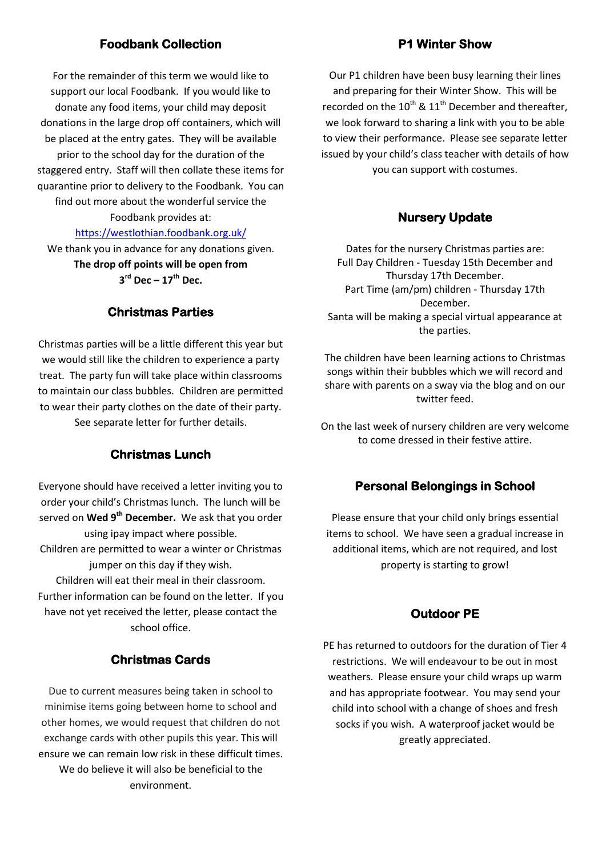## **Foodbank Collection**

For the remainder of this term we would like to support our local Foodbank. If you would like to donate any food items, your child may deposit donations in the large drop off containers, which will be placed at the entry gates. They will be available prior to the school day for the duration of the staggered entry. Staff will then collate these items for quarantine prior to delivery to the Foodbank. You can find out more about the wonderful service the Foodbank provides at:

#### <https://westlothian.foodbank.org.uk/>

We thank you in advance for any donations given. **The drop off points will be open from 3 rd Dec – 17th Dec.**

#### **Christmas Parties**

Christmas parties will be a little different this year but we would still like the children to experience a party treat. The party fun will take place within classrooms to maintain our class bubbles. Children are permitted to wear their party clothes on the date of their party.

See separate letter for further details.

#### **Christmas Lunch**

Everyone should have received a letter inviting you to order your child's Christmas lunch. The lunch will be served on **Wed 9th December.** We ask that you order using ipay impact where possible.

Children are permitted to wear a winter or Christmas jumper on this day if they wish.

Children will eat their meal in their classroom. Further information can be found on the letter. If you have not yet received the letter, please contact the school office.

#### **Christmas Cards**

Due to current measures being taken in school to minimise items going between home to school and other homes, we would request that children do not exchange cards with other pupils this year. This will ensure we can remain low risk in these difficult times. We do believe it will also be beneficial to the environment.

#### **P1 Winter Show**

Our P1 children have been busy learning their lines and preparing for their Winter Show. This will be recorded on the  $10^{th}$  &  $11^{th}$  December and thereafter, we look forward to sharing a link with you to be able to view their performance. Please see separate letter issued by your child's class teacher with details of how you can support with costumes.

#### **Nursery Update**

Dates for the nursery Christmas parties are: Full Day Children - Tuesday 15th December and Thursday 17th December. Part Time (am/pm) children - Thursday 17th December. Santa will be making a special virtual appearance at the parties.

The children have been learning actions to Christmas songs within their bubbles which we will record and share with parents on a sway via the blog and on our twitter feed.

On the last week of nursery children are very welcome to come dressed in their festive attire.

#### **Personal Belongings in School**

Please ensure that your child only brings essential items to school. We have seen a gradual increase in additional items, which are not required, and lost property is starting to grow!

#### **Outdoor PE**

PE has returned to outdoors for the duration of Tier 4 restrictions. We will endeavour to be out in most weathers. Please ensure your child wraps up warm and has appropriate footwear. You may send your child into school with a change of shoes and fresh socks if you wish. A waterproof jacket would be greatly appreciated.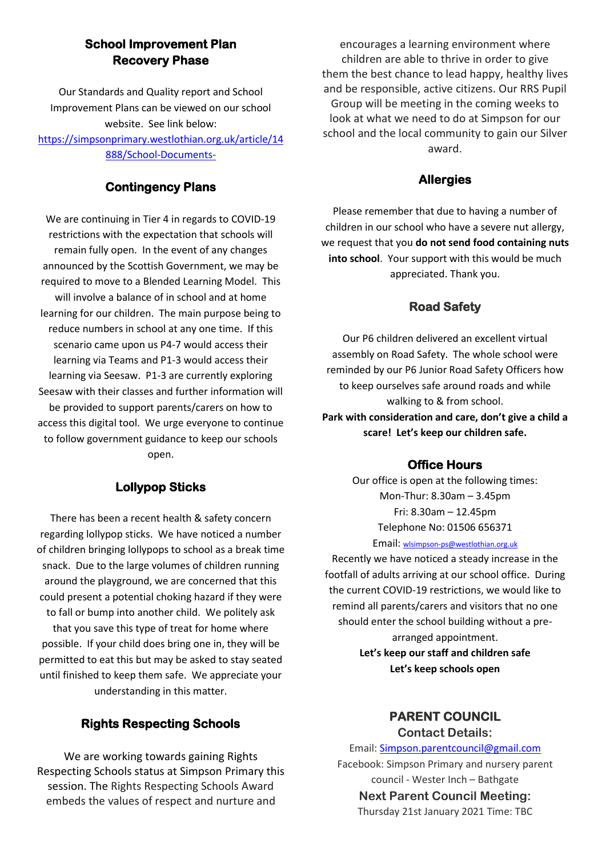## **School Improvement Plan Recovery Phase**

Our Standards and Quality report and School Improvement Plans can be viewed on our school website. See link below: [https://simpsonprimary.westlothian.org.uk/article/14](https://simpsonprimary.westlothian.org.uk/article/14888/School-Documents-) [888/School-Documents-](https://simpsonprimary.westlothian.org.uk/article/14888/School-Documents-)

## **Contingency Plans**

We are continuing in Tier 4 in regards to COVID-19 restrictions with the expectation that schools will remain fully open. In the event of any changes announced by the Scottish Government, we may be required to move to a Blended Learning Model. This will involve a balance of in school and at home learning for our children. The main purpose being to reduce numbers in school at any one time. If this scenario came upon us P4-7 would access their learning via Teams and P1-3 would access their learning via Seesaw. P1-3 are currently exploring Seesaw with their classes and further information will be provided to support parents/carers on how to access this digital tool. We urge everyone to continue to follow government guidance to keep our schools open.

## **Lollypop Sticks**

There has been a recent health & safety concern regarding lollypop sticks. We have noticed a number of children bringing lollypops to school as a break time snack. Due to the large volumes of children running around the playground, we are concerned that this could present a potential choking hazard if they were to fall or bump into another child. We politely ask that you save this type of treat for home where possible. If your child does bring one in, they will be permitted to eat this but may be asked to stay seated until finished to keep them safe. We appreciate your understanding in this matter.

## **Rights Respecting Schools**

We are working towards gaining Rights Respecting Schools status at Simpson Primary this session. The Rights Respecting Schools Award embeds the values of respect and nurture and

encourages a learning environment where children are able to thrive in order to give them the best chance to lead happy, healthy lives and be responsible, active citizens. Our RRS Pupil Group will be meeting in the coming weeks to look at what we need to do at Simpson for our school and the local community to gain our Silver award.

## **Allergies**

Please remember that due to having a number of children in our school who have a severe nut allergy, we request that you **do not send food containing nuts into school**. Your support with this would be much appreciated. Thank you.

## **Road Safety**

Our P6 children delivered an excellent virtual assembly on Road Safety. The whole school were reminded by our P6 Junior Road Safety Officers how to keep ourselves safe around roads and while walking to & from school. **Park with consideration and care, don't give a child a scare! Let's keep our children safe.**

## **Office Hours**

Our office is open at the following times: Mon-Thur: 8.30am – 3.45pm Fri: 8.30am – 12.45pm Telephone No: 01506 656371 Email: [wlsimpson-ps@westlothian.org.uk](mailto:wlsimpson-ps@westlothian.org.uk)

Recently we have noticed a steady increase in the footfall of adults arriving at our school office. During the current COVID-19 restrictions, we would like to remind all parents/carers and visitors that no one should enter the school building without a prearranged appointment. **Let's keep our staff and children safe Let's keep schools open**

# **PARENT COUNCIL**

**Contact Details:** Email: [Simpson.parentcouncil@gmail.com](mailto:Simpson.parentcouncil@gmail.com) Facebook: Simpson Primary and nursery parent council - Wester Inch – Bathgate **Next Parent Council Meeting:** Thursday 21st January 2021 Time: TBC